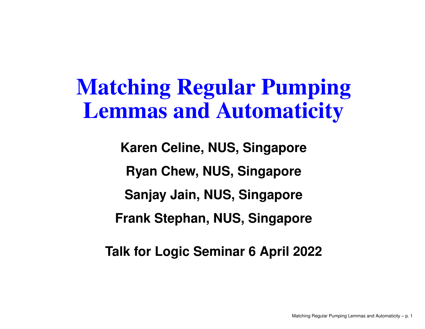### Matching Regular PumpingLemmas and Automaticity

**Karen Celine, NUS, SingaporeRyan Chew, NUS, SingaporeSanjay Jain, NUS, SingaporeFrank Stephan, NUS, Singapore**

**Talk for Logic Seminar 6 April 2022**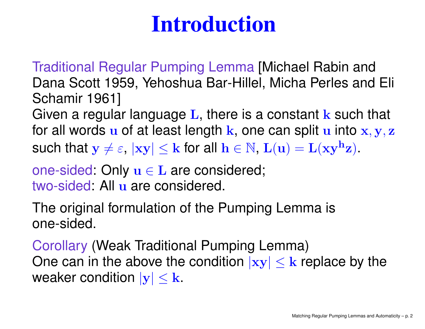## Introduction

Traditional Regular Pumping Lemma [Michael Rabin and Dana Scott 1959, Yehoshua Bar-Hillel, Micha Perles and Eli Schamir 1961]

Given a regular language L, there is a constant k such that for all words  ${\bf u}$  of at least length  ${\bf k}$ , one can split  ${\bf u}$  into  ${\bf x},{\bf y},{\bf z}$ such that  $\mathbf{y} \neq \varepsilon$ ,  $|\mathbf{xy}| \leq \mathbf{k}$  for all  $\mathbf{h} \in \mathbb{N}$ ,  $\mathbf{L}(\mathbf{u}) = \mathbf{L}(\mathbf{xy}^{\mathbf{h}}\mathbf{z})$ .

one-sided: Only **u** ∈ L are considered; two-sided: All u are considered.

The original formulation of the Pumping Lemma isone-sided.

Corollary (Weak Traditional Pumping Lemma) One can in the above the condition  $|{\bf x}{\bf y}|\leq{\bf k}$  replace by the weaker condition  $|{\bf x}\cdot {\bf k}|$ weaker condition  $|\mathbf{y}| \leq \mathbf{k}$ .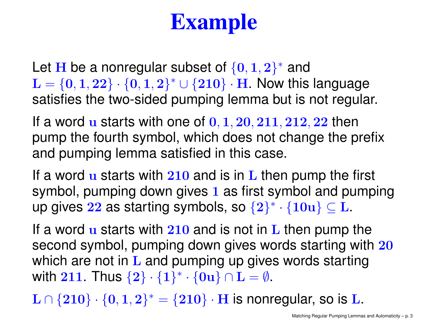# Example

Let  $\bf{H}$  be a nonregular subset of  $\{0,1,2\}^*$  and<br> $\bf{L} = \{0,1,2\}$   $\{0,1,2\}^*$  is  $\{2,10\}$  . Hence this  $\mathbf L$  $\mathbf{L} = \{0, 1, 22\} \cdot \{0, 1, 2\}^* \cup \{210\} \cdot \mathbf{H}$ . Now this language satisfies the two-sided pumping lemma but is not regular.

If a word  ${\bf u}$  starts with one of  ${\bf 0, 1, 20, 211, 212, 22}$  then pump the fourth symbol, which does not change the prefixand pumping lemma satisfied in this case.

If a word u starts with 210 and is in L then pump the first<br>symbol muscules device since 1 as first symbol and nume symbol, pumping down gives <sup>1</sup> as first symbol and pumpingup gives  ${\bf 22}$  as starting symbols, so  $\{{\bf 2}\}^* \cdot \{{\bf 10u}\} \subseteq {\bf L}.$ 

If a word u starts with 210 and is not in L then pump the<br>cases also websit we wanter down always we also atentics with second symbol, pumping down gives words starting with 20 which are not in L and pumping up gives words starting<br>with 211, Thus (2), (1)\* (2), a L with 211. Thus  $\{2\} \cdot \{1\}^* \cdot \{0\mathbf{u}\} \cap \mathbf{L} = \emptyset$ .

 $\mathrm{L} \cap \{210\} \cdot \{0,1,2\}^* = \{210\} \cdot \mathrm{H}$  is nonregular, so is  $\mathrm{L}$ .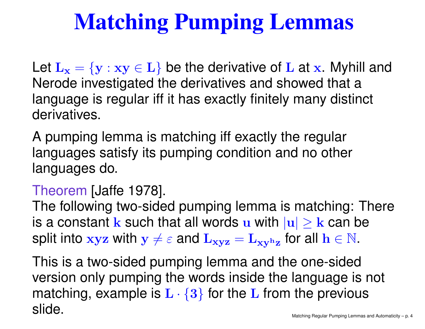# Matching Pumping Lemmas

Let  $\mathbf{L}_\mathbf{x}=$  Nerode investigated the derivatives and showed that <sup>a</sup> ${y : xy \in L}$  be the derivative of L at x. Myhill and language is regular iff it has exactly finitely many distinct derivatives.

A pumping lemma is matching iff exactly the regular languages satisfy its pumping condition and no otherlanguages do.

## Theorem [Jaffe 1978].

The following two-sided pumping lemma is matching: Thereis a constant  ${\bf k}$  such that all words  ${\bf u}$  with  $|{\bf u}|\geq {\bf k}$  can be<br>split into whith we cond  ${\bf L}$ split into  $\mathbf{x} \mathbf{y} \mathbf{z}$  with  $\mathbf{y} \neq \varepsilon$  and  $\mathbf{L}_{\mathbf{x} \mathbf{y} \mathbf{z}}$ = $\mathbf{L_{xy}}$  $\mathbf{h}_{\mathbf{Z}}$  $_{\mathbf{z}}$  for all  $\mathbf{h} \in \mathbb{N}$ .

This is <sup>a</sup> two-sided pumping lemma and the one-sided version only pumping the words inside the language is not matching, example is  $\mathbf{L} \cdot \{ \mathbf{3} \}$  for the  $\mathbf{L}$  from the previous<br>alide slide.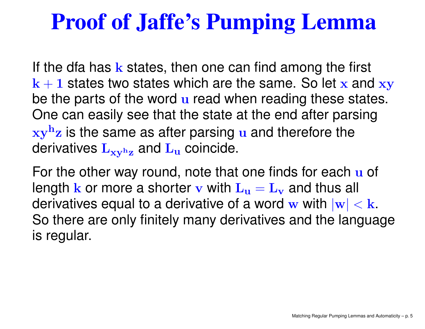## Proof of Jaffe's Pumping Lemma

If the dfa has  ${\bf k}$  states, then one can find among the first  $k+1$  states two states which are the same. So let x and xy n, be the parts of the word u read when reading these states. One can easily see that the state at the end after parsingxyderivatives  $\mathbf{L_{xy^hz}}$  and  $\mathbf{L_u}$  coincid  ${\bf h}$  $\frac{h}{Z}$  is the same as after parsing u and therefore the  $\mathbf{h}_{\mathbf{Z}}$  $_{\rm z}$  and  $\rm L_u$ u coincide.

For the other way round, note that one finds for each u of length  ${\bf k}$  or more a shorter  ${\bf v}$  with  ${\bf L_u}={\bf L_v}$  and thus derivatives equal to a derivative of a word  $\bf w$  with  $|{\bf w}|<{\bf k}.$  Se there are enly finitely many derivatives and the langua  $\frac{1}{\sqrt{2}}$  and thus all So there are only finitely many derivatives and the languageis regular.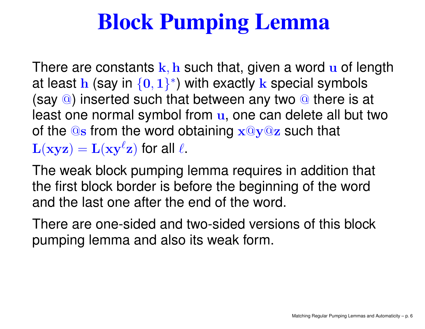# Block Pumping Lemma

There are constants  $k, h$  such that, given a word  $u$  of length at least  ${\mathbf h}$  (say in  $\{{\mathbf 0},1\}^*$ ) with exactly  ${\mathbf k}$  special symbols (say @) inserted such that between any two @ there is at<br>locat ane permal aumhel from see ane can delete all but ty least one normal symbol from  $\bf{u},$  one can delete all but two of the  $@{\bf s}$  from the word obtaining  $\mathbf{x}@{\bf y}@{\bf z}$  such that  $\mathbf{L}(\mathbf{x}\mathbf{y}\mathbf{z})=\mathbf{L}(\mathbf{x}\mathbf{y}^{\ell}% )\mathbf{z}^{\ell}$  ${}^{\ell}\mathbf{z})$  for all  $\ell.$ 

The weak block pumping lemma requires in addition that the first block border is before the beginning of the wordand the last one after the end of the word.

There are one-sided and two-sided versions of this blockpumping lemma and also its weak form.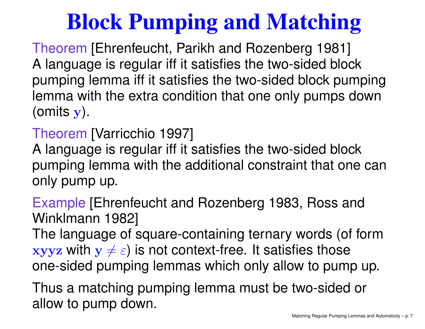# Block Pumping and Matching

Theorem [Ehrenfeucht, Parikh and Rozenberg 1981]<br>A language is requier iff it satisfies the two sided blo A language is regular iff it satisfies the two-sided block pumping lemma iff it satisfies the two-sided block pumping lemma with the extra condition that one only pumps down(omits  $\mathbf y) .$ 

## Theorem [Varricchio 1997]<br>A Ianguago is requier iff it :

A language is regular iff it satisfies the two-sided block pumping lemma with the additional constraint that one canonly pump up.

Example [Ehrenfeucht and Rozenberg 1983, Ross and Winklmann 1982]

The language of square-containing ternary words (of form $\mathbf{x}$ yyz with  $\mathbf{y}\neq\varepsilon)$  is not context-free. It satisfies those one-sided pumping lemmas which only allow to pump up.

Thus <sup>a</sup> matching pumping lemma must be two-sided orallow to pump down.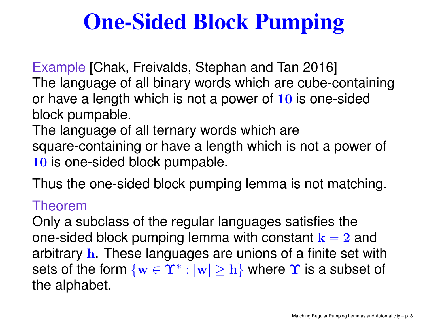# One-Sided Block Pumping

Example [Chak, Freivalds, Stephan and Tan 2016] The language of all binary words which are cube-containingor have a length which is not a power of 10 is one-sided block pumpable.

The language of all ternary words which are square-containing or have <sup>a</sup> length which is not <sup>a</sup> power of  ${\bf 10}$  is one-sided block pumpable.

Thus the one-sided block pumping lemma is not matching.

### Theorem

Only <sup>a</sup> subclass of the regular languages satisfies theone-sided block pumping lemma with constant  ${\bf k}=2$  and arbitrary **h**. These languages are unions of a finite set with sets of the form  $\{ {\bf w}\in \Upsilon^* : |{\bf w}|\geq {\bf h}\}$  where  $\Upsilon$  is a subset c  $\ket{\mathbf{w}} \geq \mathbf{h}$  where  $\mathbf{\Upsilon}$  is a subset of the alphabet.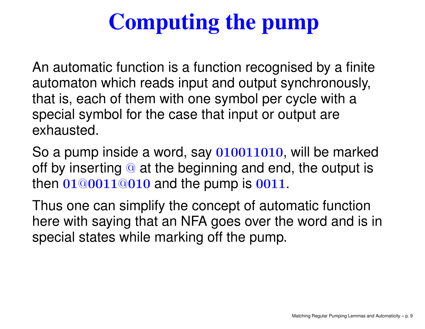# Computing the pump

An automatic function is <sup>a</sup> function recognised by <sup>a</sup> finite automaton which reads input and output synchronously, that is, each of them with one symbol per cycle with <sup>a</sup>special symbol for the case that input or output areexhausted.

So a pump inside a word, say 010011010, will be marked off by inserting @ at the beginning and end, the output is<br>then 01@0011@010 and the numn is 0011 then 01@0011@010 and the pump is 0011.

Thus one can simplify the concept of automatic function here with saying that an NFA goes over the word and is inspecial states while marking off the pump.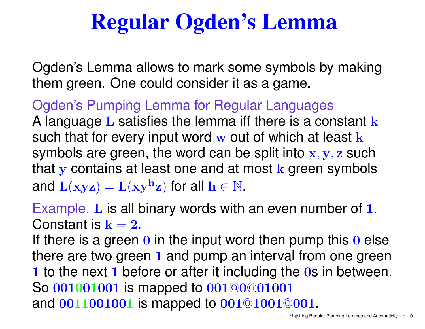## Regular Ogden's Lemma

Ogden's Lemma allows to mark some symbols by makingthem green. One could consider it as <sup>a</sup> game.

Ogden's Pumping Lemma for Regular LanguagesA language L satisfies the lemma iff there is a constant k<br>such that for averations to read and of which at least 1 such that for every input word w out of which at least k<br>symbols are groen, the word ean be split into x, x, z sur symbols are green, the word can be split into  $\mathbf{x}, \mathbf{y}, \mathbf{z}$  such that  ${\bf y}$  contains at least one and at most  ${\bf k}$  green symbols and  $\mathbf{L}(\mathbf{xyz}) = \mathbf{L}(\mathbf{xyh}$  $\mathbf{z})$  for all  $\mathbf{h}\in\mathbb{N}.$ 

Example. L is all binary words with an even number of 1.<br>Canadastic l Constant is  $\mathbf{k}=\mathbf{2}$ .

 $\sim$   $\sim$ If there is a green  $0$  in the input word then pump this  $0$  else there are two green 1 and pump an interval from one green 1 to the next 1 before or after it including the 0s in between. So 001001001 is mapped to 001@0@01001 and 0011001001 is mapped to 001@1001@001.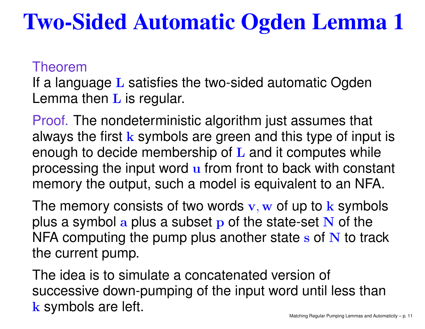## Two-Sided Automatic Ogden Lemma 1

#### Theorem

If a language L satisfies the two-sided automatic Ogden<br>Lemma them L is manular Lemma then  $\bf L$  is regular.

Proof. The nondeterministic algorithm just assumes that always the first  $k$  symbols are green and this type of input is enough to decide membership of L and it computes while processing the input word u from front to back with constant memory the output, such <sup>a</sup> model is equivalent to an NFA.

The memory consists of two words  $\mathbf{v}, \mathbf{w}$  of up to  $\mathbf{k}$  symbols<br>plus a symbol a plus a subset p of the state set  $\mathbf{N}$  of the plus a symbol a plus a subset p of the state-set N of the<br>NEA computing the nump plus another state s of N to tra NFA computing the pump plus another state s of N to track<br>the current pump the current pump.

The idea is to simulate <sup>a</sup> concatenated version of successive down-pumping of the input word until less thank symbols are left. The state of the matching Regular Pumping Lemmas and Automaticity – p. 11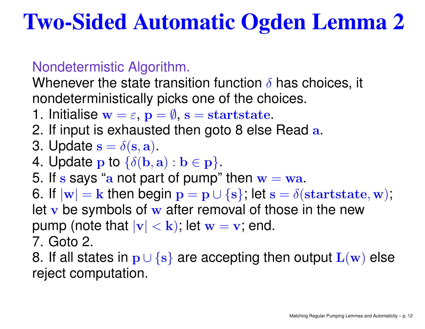## Two-Sided Automatic Ogden Lemma 2

### Nondetermistic Algorithm.

Whenever the state transition function  $\delta$  has choices, it nondeterministically picks one of the choices.

- 1. Initialise  $\mathbf{w}=\varepsilon$ ,  $\mathbf{p}=\emptyset$ ,  $\mathbf{s}=\text{startstate}$ .<br>2. If input is exhausted then sate 8 also
- 2. If input is exhausted then goto 8 else Read a.
- 3. Update  $\mathbf{s}=\delta(\mathbf{s},\mathbf{a})$ .
- $\sim$   $\sim$ 4. Update  $\bf{p}$  to  $\{\delta({\bf b},{\bf a}):{\bf b}\in{\bf p}\}$ .
- 5. If  $s$  says "a not part of pump" then  $w = wa$ .<br>6. If lead out then begin  $x = w + (a) \cdot \log x$ .
- ' 17 6. If  $|{\bf w}| = {\bf k}$  then begin  ${\bf p} = {\bf p} \cup \{ {\bf s} \}$ ; let  ${\bf s} = \delta({\bf startstate},{\bf w})$ ;  $\alpha$  makels of  $\alpha$  ofter romand of the letv be symbols of w after removal of those in the new
- pump (note that  $|\mathbf{v}|<\mathbf{k}$ ); let  $\mathbf{w}=$  $\mathbf v$ , end.
- 7. Goto 2.
- 8. If all states in p∪ {s} are accepting then output  $\mathbf{L}(\mathbf{w})$  else<br>reject esmputation reject computation.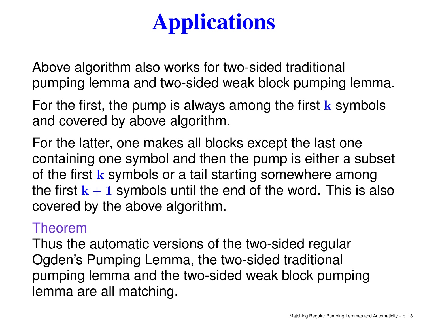# **Applications**

Above algorithm also works for two-sided traditional pumping lemma and two-sided weak block pumping lemma.

For the first, the pump is always among the first  ${\bf k}$  symbols and covered by above algorithm.

For the latter, one makes all blocks except the last one containing one symbol and then the pump is either <sup>a</sup> subset of the first k symbols or a tail starting somewhere among the first  ${\bf k}+{\bf 1}$  symbols until the end of the word. This is also<br>eavered by the above electition covered by the above algorithm.

### Theorem

Thus the automatic versions of the two-sided regularOgden's Pumping Lemma, the two-sided traditional pumping lemma and the two-sided weak block pumpinglemma are all matching.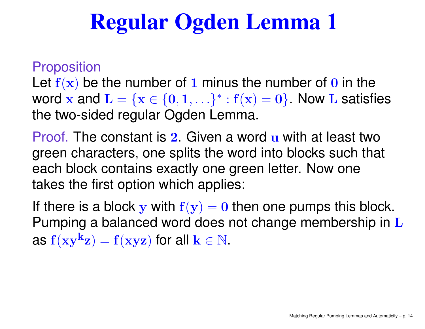## Regular Ogden Lemma 1

### **Proposition**

Let  $f(x)$  be the number of 1 minus the number of 0 in the word  $\mathbf{x}$  and  $\mathbf{L} = \{\mathbf{x} \in \{0,1,\ldots\}^*: \mathbf{f}(\mathbf{x}) = \mathbf{0}\}.$  Now L satis the two-sided regular Ogden Lemma.  $\{ \mathbf{x} \in \{ \mathbf{0}, \mathbf{1}, \ldots \}^* \}$  $*$  :  $f(x) = 0$ }. Now L satisfies

Proof. The constant is 2 Given a word u with at least two green characters, one splits the word into blocks such that each block contains exactly one green letter. Now onetakes the first option which applies:

If there is a block  ${\bf y}$  with  ${\bf f}({\bf y})={\bf 0}$  then one pumps this block. the contract of the contract of the contract of the Pumping a balanced word does not change membership in  ${\bf L}$ as  $\rm f(xy^k$  $(\mathbf{z}) = \mathbf{f}(\mathbf{x} \mathbf{y} \mathbf{z})$  for all  $\mathbf{k} \in \mathbb{N}$ .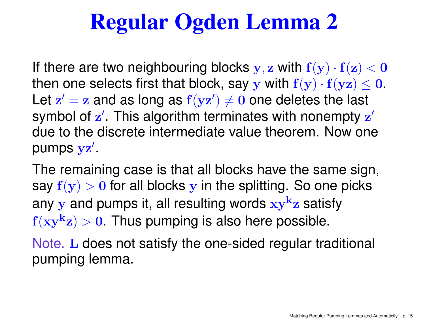## Regular Ogden Lemma 2

If there are two neighbouring blocks  $\mathbf{y}, \mathbf{z}$  with  $\mathbf{f}(\mathbf{y}) \cdot \mathbf{f}(\mathbf{z}) < \mathbf{0}$  $\mathbf{A}$  and  $\mathbf{A}$  and  $\mathbf{A}$  and  $\mathbf{A}$ then one selects first that block, say  $\mathbf y$  with  $\mathbf f(\mathbf y) \cdot \mathbf f(\mathbf y \mathbf z) \leq \mathbf 0.$ and the contract of the contract of the contract of the contract of the contract of the contract of the contract of the contract of the contract of the contract of the contract of the contract of the contract of the contra Let  ${\bf z}' = {\bf z}$  and as long as  ${\bf f}({\bf v}{\bf z}') \neq {\bf 0}$  one deletes the las  $hd \sim 1$   $f \sim 1$  This slassition to  $\mathbf{z}' = \mathbf{z}$  and as long as  $\mathbf{f}(\mathbf{y}\mathbf{z}')$  $(\theta)\neq\mathbf{0}$  one deletes the last symbol of  $\mathbf{z}'$ . This algorithm terr due to the discrete intermediate value theorem. Now one $^\prime$ . This algorithm terminates with nonempty  $\bf z$ ′ pumps  $\mathbf y \mathbf z$ ′ .

The remaining case is that all blocks have the same sign, say  $\mathbf{f}(\mathbf{y}) > \mathbf{0}$  for all blocks  $\mathbf{y}$  in the splitting. So one picks any  ${\bf y}$  and pumps it, all resulting words  ${\bf x}{\bf y}^{\bf k}$  $\rm f(xy^k$ <mark>z</mark> satisfy  $|{\bf z}|>0.$  Thus pumping is also here possible.

Note. L does not satisfy the one-sided regular traditional pumping lemma.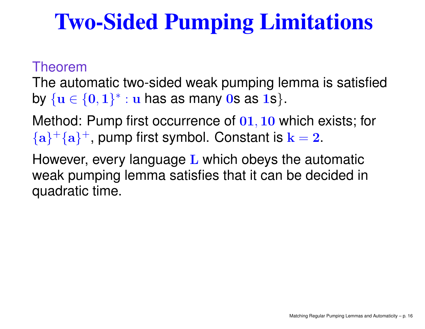## Two-Sided Pumping Limitations

#### Theorem

The automatic two-sided weak pumping lemma is satisfiedby  $\{ {\bf u} \in \{ {\bf 0}, {\bf 1} \}^*$  $^*$  :  ${\bf u}$  has as many 0s as 1s}.

Method: Pump first occurrence of 01, 10 which exists; for  $\{ {\bf a} \}^+ \{ {\bf a} \}^+$ , pump first symbol. Constant is  ${\bf k}=2.$ 

However, every language L which obeys the automatic weak pumping lemma satisfies that it can be decided inquadratic time.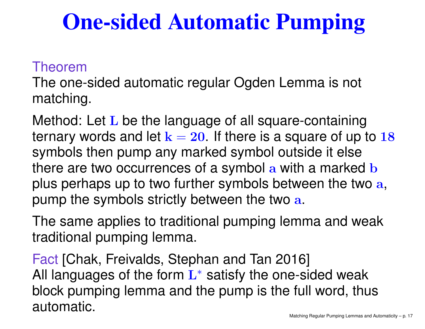## One-sided Automatic Pumping

### Theorem

The one-sided automatic regular Ogden Lemma is not matching.

Method: Let L be the language of all square-containing<br>have awarened a soal let be 22 all the sua is a same was of use ternary words and let  ${\bf k}=$  symbols then pump any marked symbol outside it else $= 20$ . If there is a square of up to  $18$ there are two occurrences of a symbol a with a marked b plus perhaps up to two further symbols between the two  $\mathbf a,$ pump the symbols strictly between the two  $\mathbf a.$ 

The same applies to traditional pumping lemma and weaktraditional pumping lemma.

Fact [Chak, Freivalds, Stephan and Tan 2016] All languages of the form  $\mathbf{L}^{*}$  satisfy the one-sided weak block pumping lemma and the pump is the full word, thusautomatic.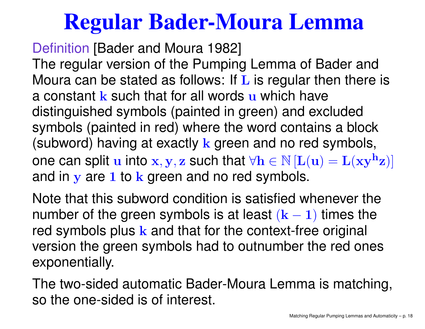### Regular Bader-Moura Lemma

Definition [Bader and Moura 1982]

The regular version of the Pumping Lemma of Bader andMoura can be stated as follows: If L is regular then there is a constant **k** such that for all words **u** which have distinguished symbols (painted in green) and excluded symbols (painted in red) where the word contains <sup>a</sup> block(subword) having at exactly  ${\bf k}$  green and no red symbols, one can split  $\mathbf{u}$  into  $\mathbf{x}, \mathbf{y}, \mathbf{z}$  such that  $\forall \mathbf{h} \in \mathbb{N}$   $[\mathbf{L}(\mathbf{u}) = \mathbf{L}(\mathbf{x}\mathbf{y}^{\mathbf{h}})]$ and in  ${\bf y}$  are 1 to  ${\bf k}$  green and no red symbols.  $\mathbf{h}_{\mathbf{Z}})]$ 

Note that this subword condition is satisfied whenever thenumber of the green symbols is at least  $(\mathbf{k-1})$  times the red symbols plus  $k$  and that for the context-free original version the green symbols had to outnumber the red onesexponentially.

The two-sided automatic Bader-Moura Lemma is matching, so the one-sided is of interest.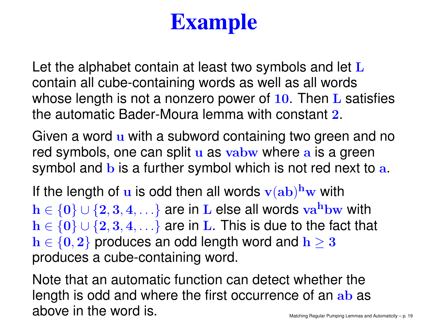# Example

Let the alphabet contain at least two symbols and let  $L$  contain all cube-containing words as well as all wordswhose length is not a nonzero power of 10. Then L satisfies<br>the externatic Parlex Maure larges with constant 2 the automatic Bader-Moura lemma with constant <sup>2</sup>.

Given a word u with a subword containing two green and no red symbols, one can split u as vabw where a is a green<br>symbol and h is a further symbol which is not rod noyt to symbol and  $\bf b$  is a further symbol which is not red next to  $\bf a$ .

If the length of  $\bf{u}$  is odd then all words  ${\bf v}({\bf a}{\bf b})^{\bf h}{\bf w}$  with  $h \in \{0\} \cup \{2, 3, 4, \ldots\}$  are in L else all words va<sup>h</sup>bw with  $h \in \{0\} \cup \{2, 3, 4, \ldots\}$  are in L. This is due to the fact that  $h \in \{0, 3\}$  are incorporated used and  $h > 3$  $h \in \{0, 2\}$  produces an odd length word and  $h \geq 3$ <br>produces a sube containing word produces <sup>a</sup> cube-containing word.

Note that an automatic function can detect whether thelength is odd and where the first occurrence of an ab as above in the word is. The state of the matching Regular Pumping Lemmas and Automaticity – p. 19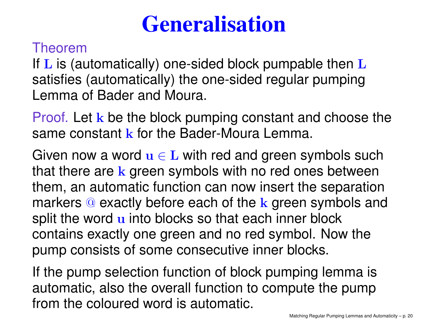## **Generalisation**

### Theorem

If L is (automatically) one-sided block pumpable then L satisfies (automatically) the one-sided regular pumpingLemma of Bader and Moura.

Proof. Let k be the block pumping constant and choose the same constant <mark>k</mark> for the Bader-Moura Lemma.

Given now a word  $\mathbf{u} \in \mathbf{L}$  with red and green symbols such<br>that there are leave as a website with no red area between that there are k green symbols with no red ones between them, an automatic function can now insert the separationmarkers @ exactly before each of the k green symbols and<br>an<sup>i</sup>it the werd winte bleeks as thet each inner black split the word u into blocks so that each inner block contains exactly one green and no red symbol. Now thepump consists of some consecutive inner blocks.

If the pump selection function of block pumping lemma is automatic, also the overall function to compute the pumpfrom the coloured word is automatic.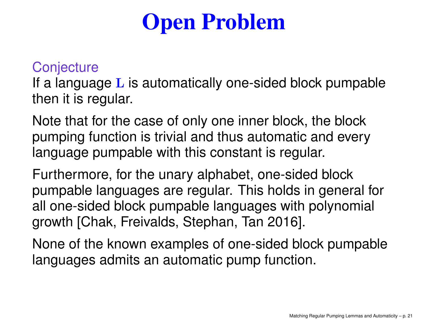# Open Problem

### **Conjecture**

If a language L is automatically one-sided block pumpable<br>than it is resuler then it is regular.

Note that for the case of only one inner block, the block pumping function is trivial and thus automatic and everylanguage pumpable with this constant is regular.

Furthermore, for the unary alphabet, one-sided block pumpable languages are regular. This holds in general forall one-sided block pumpable languages with polynomial growth [Chak, Freivalds, Stephan, Tan 2016].

None of the known examples of one-sided block pumpablelanguages admits an automatic pump function.